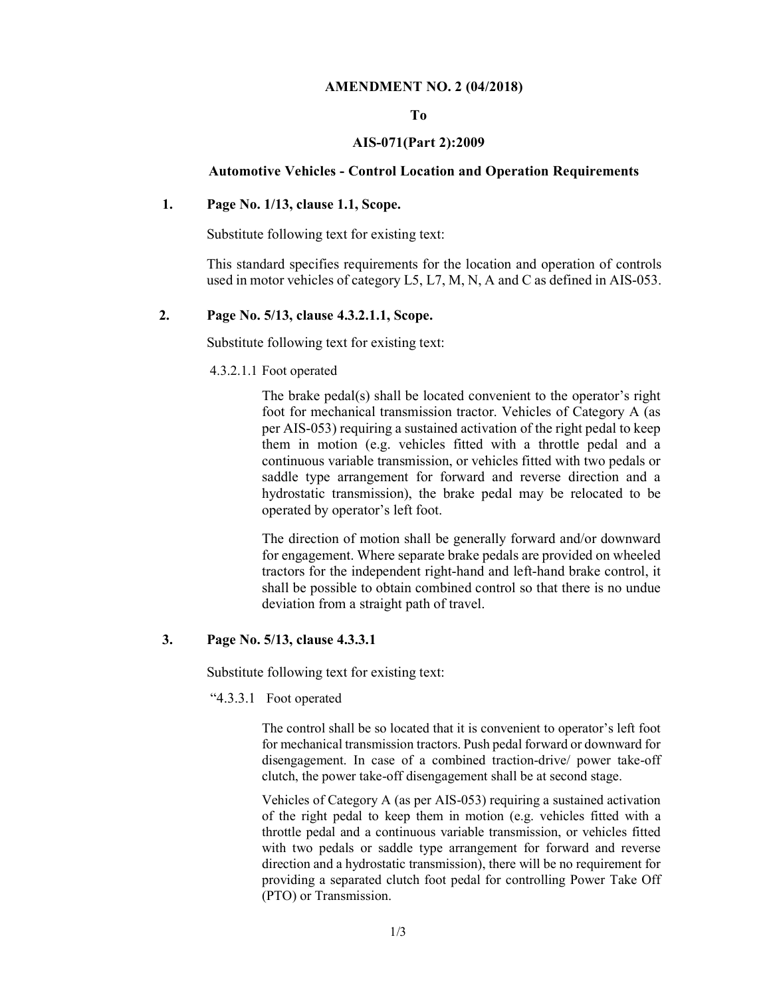#### AMENDMENT NO. 2 (04/2018)

#### To

#### AIS-071(Part 2):2009

#### Automotive Vehicles - Control Location and Operation Requirements

#### 1. Page No. 1/13, clause 1.1, Scope.

Substitute following text for existing text:

This standard specifies requirements for the location and operation of controls used in motor vehicles of category L5, L7, M, N, A and C as defined in AIS-053.

#### 2. Page No. 5/13, clause 4.3.2.1.1, Scope.

Substitute following text for existing text:

4.3.2.1.1 Foot operated

The brake pedal(s) shall be located convenient to the operator's right foot for mechanical transmission tractor. Vehicles of Category A (as per AIS-053) requiring a sustained activation of the right pedal to keep them in motion (e.g. vehicles fitted with a throttle pedal and a continuous variable transmission, or vehicles fitted with two pedals or saddle type arrangement for forward and reverse direction and a hydrostatic transmission), the brake pedal may be relocated to be operated by operator's left foot.

The direction of motion shall be generally forward and/or downward for engagement. Where separate brake pedals are provided on wheeled tractors for the independent right-hand and left-hand brake control, it shall be possible to obtain combined control so that there is no undue deviation from a straight path of travel.

#### 3. Page No. 5/13, clause 4.3.3.1

Substitute following text for existing text:

"4.3.3.1 Foot operated

The control shall be so located that it is convenient to operator's left foot for mechanical transmission tractors. Push pedal forward or downward for disengagement. In case of a combined traction-drive/ power take-off clutch, the power take-off disengagement shall be at second stage.

Vehicles of Category A (as per AIS-053) requiring a sustained activation of the right pedal to keep them in motion (e.g. vehicles fitted with a throttle pedal and a continuous variable transmission, or vehicles fitted with two pedals or saddle type arrangement for forward and reverse direction and a hydrostatic transmission), there will be no requirement for providing a separated clutch foot pedal for controlling Power Take Off (PTO) or Transmission.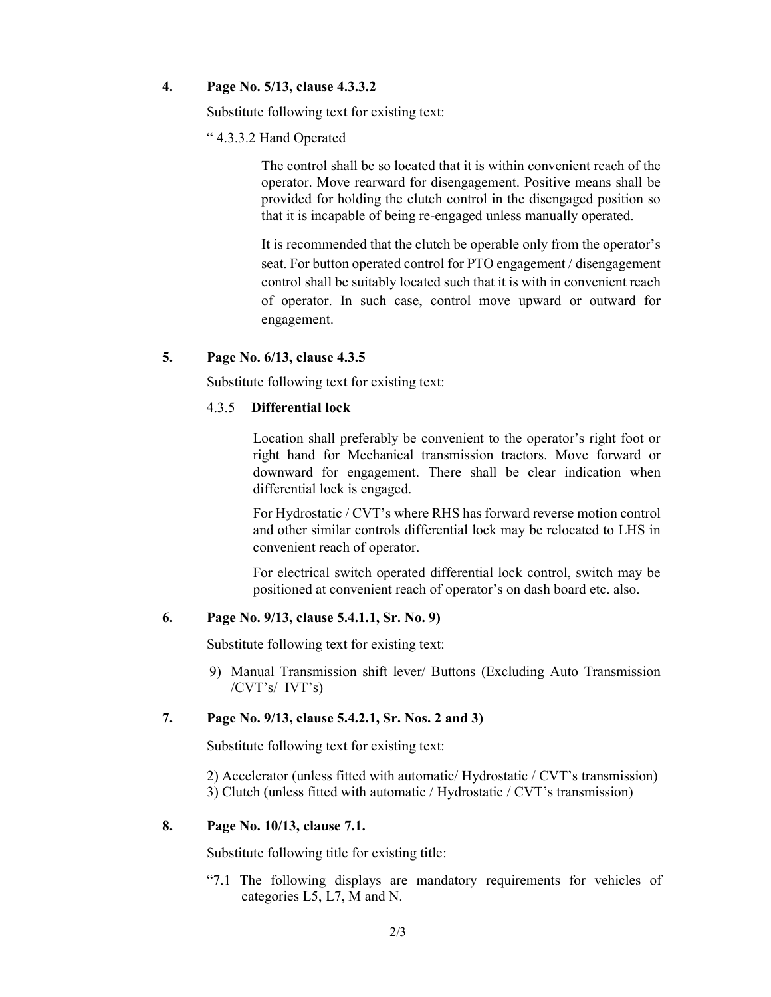#### 4. Page No. 5/13, clause 4.3.3.2

Substitute following text for existing text:

#### " 4.3.3.2 Hand Operated

The control shall be so located that it is within convenient reach of the operator. Move rearward for disengagement. Positive means shall be provided for holding the clutch control in the disengaged position so that it is incapable of being re-engaged unless manually operated.

It is recommended that the clutch be operable only from the operator's seat. For button operated control for PTO engagement / disengagement control shall be suitably located such that it is with in convenient reach of operator. In such case, control move upward or outward for engagement.

#### 5. Page No. 6/13, clause 4.3.5

Substitute following text for existing text:

#### 4.3.5 Differential lock

Location shall preferably be convenient to the operator's right foot or right hand for Mechanical transmission tractors. Move forward or downward for engagement. There shall be clear indication when differential lock is engaged.

For Hydrostatic / CVT's where RHS has forward reverse motion control and other similar controls differential lock may be relocated to LHS in convenient reach of operator.

For electrical switch operated differential lock control, switch may be positioned at convenient reach of operator's on dash board etc. also.

#### 6. Page No. 9/13, clause 5.4.1.1, Sr. No. 9)

Substitute following text for existing text:

9) Manual Transmission shift lever/ Buttons (Excluding Auto Transmission /CVT's/ IVT's)

#### 7. Page No. 9/13, clause 5.4.2.1, Sr. Nos. 2 and 3)

Substitute following text for existing text:

2) Accelerator (unless fitted with automatic/ Hydrostatic / CVT's transmission) 3) Clutch (unless fitted with automatic / Hydrostatic / CVT's transmission)

#### 8. Page No. 10/13, clause 7.1.

Substitute following title for existing title:

"7.1 The following displays are mandatory requirements for vehicles of categories L5, L7, M and N.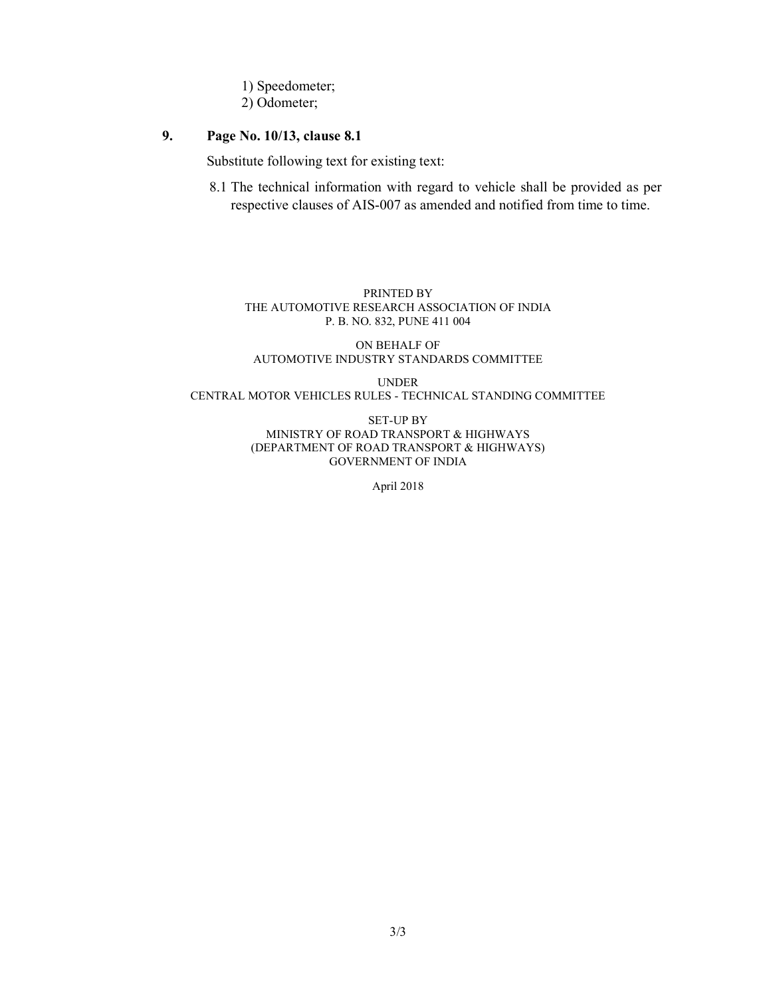- 1) Speedometer;
- 2) Odometer;

#### 9. Page No. 10/13, clause 8.1

Substitute following text for existing text:

8.1 The technical information with regard to vehicle shall be provided as per respective clauses of AIS-007 as amended and notified from time to time.

#### PRINTED BY THE AUTOMOTIVE RESEARCH ASSOCIATION OF INDIA P. B. NO. 832, PUNE 411 004

#### ON BEHALF OF AUTOMOTIVE INDUSTRY STANDARDS COMMITTEE

UNDER CENTRAL MOTOR VEHICLES RULES - TECHNICAL STANDING COMMITTEE

> SET-UP BY MINISTRY OF ROAD TRANSPORT & HIGHWAYS (DEPARTMENT OF ROAD TRANSPORT & HIGHWAYS) GOVERNMENT OF INDIA

> > April 2018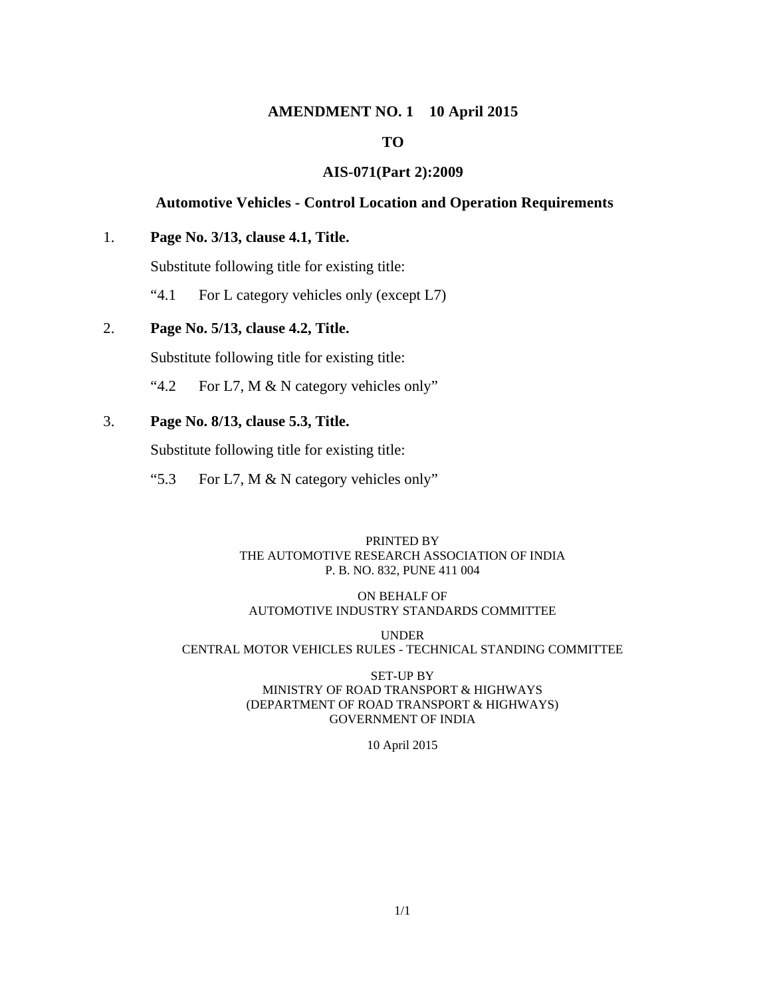#### **AMENDMENT NO. 1 10 April 2015**

#### **TO**

#### **AIS-071(Part 2):2009**

#### **Automotive Vehicles - Control Location and Operation Requirements**

#### 1. **Page No. 3/13, clause 4.1, Title.**

Substitute following title for existing title:

"4.1 For L category vehicles only (except L7)

#### 2. **Page No. 5/13, clause 4.2, Title.**

Substitute following title for existing title:

"4.2 For L7, M & N category vehicles only"

#### 3. **Page No. 8/13, clause 5.3, Title.**

Substitute following title for existing title:

"5.3 For L7, M & N category vehicles only"

#### PRINTED BY THE AUTOMOTIVE RESEARCH ASSOCIATION OF INDIA P. B. NO. 832, PUNE 411 004

#### ON BEHALF OF AUTOMOTIVE INDUSTRY STANDARDS COMMITTEE

UNDER CENTRAL MOTOR VEHICLES RULES - TECHNICAL STANDING COMMITTEE

#### SET-UP BY MINISTRY OF ROAD TRANSPORT & HIGHWAYS (DEPARTMENT OF ROAD TRANSPORT & HIGHWAYS) GOVERNMENT OF INDIA

10 April 2015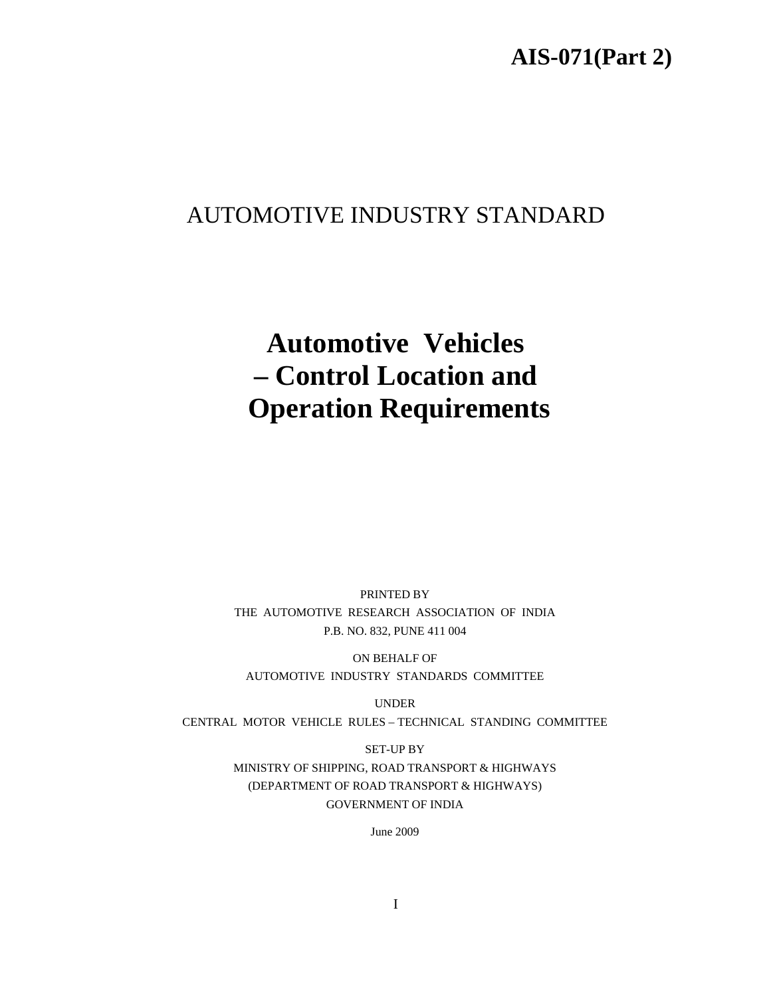## **AIS-071(Part 2)**

# AUTOMOTIVE INDUSTRY STANDARD

# **Automotive Vehicles – Control Location and Operation Requirements**

PRINTED BY THE AUTOMOTIVE RESEARCH ASSOCIATION OF INDIA P.B. NO. 832, PUNE 411 004

ON BEHALF OF AUTOMOTIVE INDUSTRY STANDARDS COMMITTEE

UNDER CENTRAL MOTOR VEHICLE RULES – TECHNICAL STANDING COMMITTEE

> SET-UP BY MINISTRY OF SHIPPING, ROAD TRANSPORT & HIGHWAYS (DEPARTMENT OF ROAD TRANSPORT & HIGHWAYS) GOVERNMENT OF INDIA

> > June 2009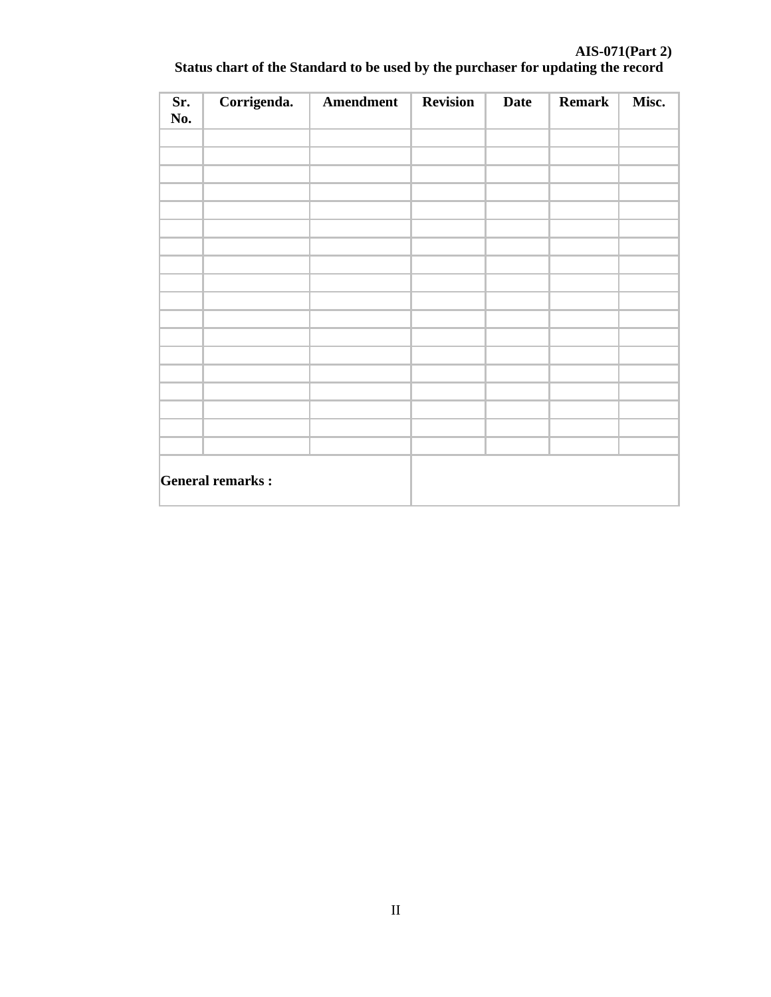# **Sr. No. Corrigenda. Amendment Revision Date Remark Misc. General remarks :**

#### **AIS-071(Part 2) Status chart of the Standard to be used by the purchaser for updating the record**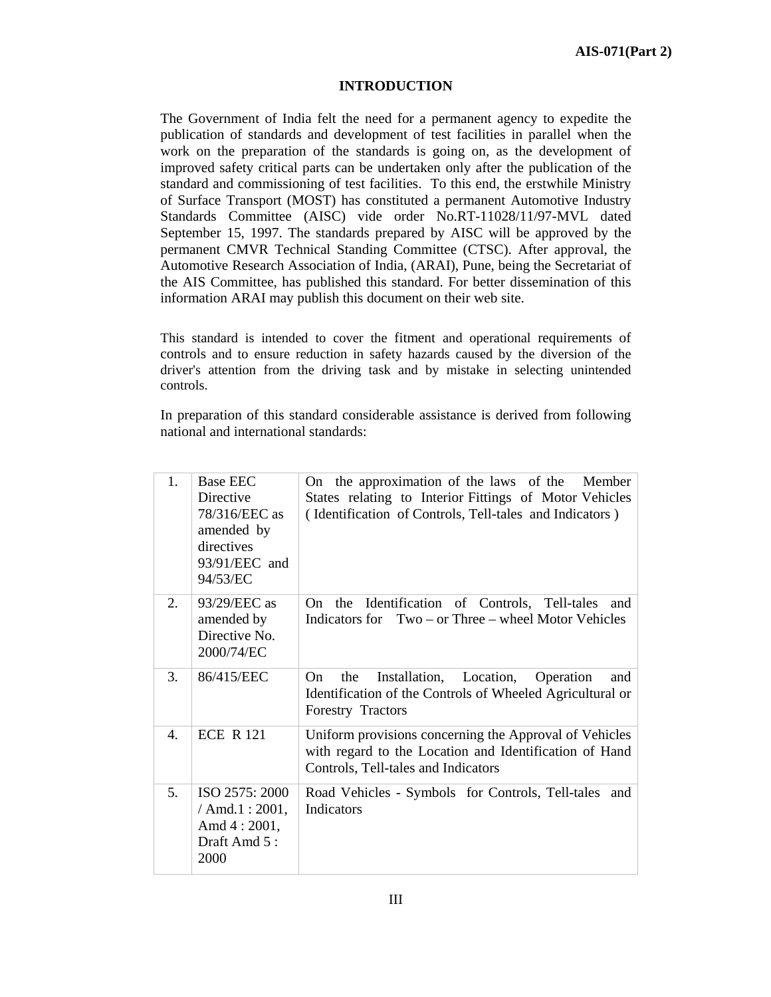#### **INTRODUCTION**

The Government of India felt the need for a permanent agency to expedite the publication of standards and development of test facilities in parallel when the work on the preparation of the standards is going on, as the development of improved safety critical parts can be undertaken only after the publication of the standard and commissioning of test facilities. To this end, the erstwhile Ministry of Surface Transport (MOST) has constituted a permanent Automotive Industry Standards Committee (AISC) vide order No.RT-11028/11/97-MVL dated September 15, 1997. The standards prepared by AISC will be approved by the permanent CMVR Technical Standing Committee (CTSC). After approval, the Automotive Research Association of India, (ARAI), Pune, being the Secretariat of the AIS Committee, has published this standard. For better dissemination of this information ARAI may publish this document on their web site.

This standard is intended to cover the fitment and operational requirements of controls and to ensure reduction in safety hazards caused by the diversion of the driver's attention from the driving task and by mistake in selecting unintended controls.

In preparation of this standard considerable assistance is derived from following national and international standards:

| 1.             | <b>Base EEC</b><br><b>Directive</b><br>78/316/EEC as<br>amended by<br>directives<br>93/91/EEC and<br>94/53/EC | On the approximation of the laws of the<br>Member<br>States relating to Interior Fittings of Motor Vehicles<br>(Identification of Controls, Tell-tales and Indicators) |
|----------------|---------------------------------------------------------------------------------------------------------------|------------------------------------------------------------------------------------------------------------------------------------------------------------------------|
| 2.             | 93/29/EEC as<br>amended by<br>Directive No.<br>2000/74/EC                                                     | On the Identification of Controls, Tell-tales<br>and<br>Indicators for Two – or Three – wheel Motor Vehicles                                                           |
| 3.             | 86/415/EEC                                                                                                    | the<br>Installation, Location,<br>Operation<br>On<br>and<br>Identification of the Controls of Wheeled Agricultural or<br>Forestry Tractors                             |
| $\mathbf{4}$ . | <b>ECE R 121</b>                                                                                              | Uniform provisions concerning the Approval of Vehicles<br>with regard to the Location and Identification of Hand<br>Controls, Tell-tales and Indicators                |
| 5.             | ISO 2575: 2000<br>/ $Amd.1:2001,$<br>Amd $4:2001$ ,<br>Draft Amd 5:<br>2000                                   | Road Vehicles - Symbols for Controls, Tell-tales<br>and<br>Indicators                                                                                                  |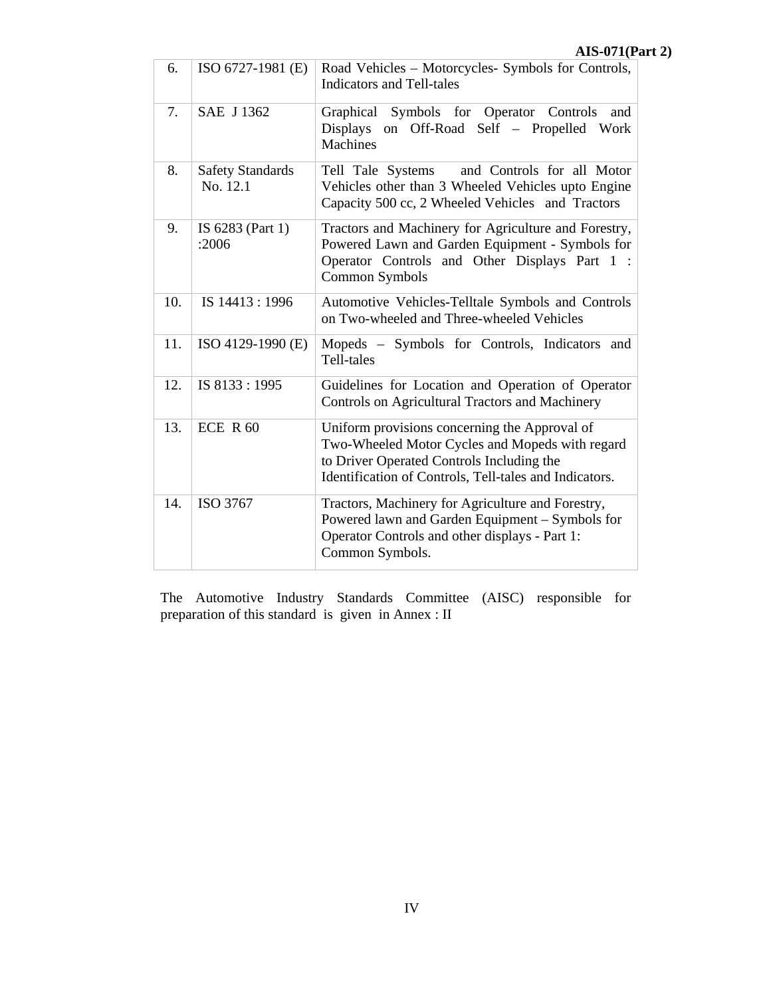|     |                                     | $A10 - 0111$                                                                                                                                                                                            |
|-----|-------------------------------------|---------------------------------------------------------------------------------------------------------------------------------------------------------------------------------------------------------|
| 6.  | ISO 6727-1981 (E)                   | Road Vehicles - Motorcycles- Symbols for Controls,<br><b>Indicators and Tell-tales</b>                                                                                                                  |
| 7.  | SAE J 1362                          | Graphical Symbols for Operator Controls<br>and<br>Displays on Off-Road Self - Propelled Work<br><b>Machines</b>                                                                                         |
| 8.  | <b>Safety Standards</b><br>No. 12.1 | and Controls for all Motor<br>Tell Tale Systems<br>Vehicles other than 3 Wheeled Vehicles upto Engine<br>Capacity 500 cc, 2 Wheeled Vehicles and Tractors                                               |
| 9.  | IS 6283 (Part 1)<br>:2006           | Tractors and Machinery for Agriculture and Forestry,<br>Powered Lawn and Garden Equipment - Symbols for<br>Operator Controls and Other Displays Part 1 :<br>Common Symbols                              |
| 10. | IS 14413:1996                       | Automotive Vehicles-Telltale Symbols and Controls<br>on Two-wheeled and Three-wheeled Vehicles                                                                                                          |
| 11. | ISO 4129-1990 (E)                   | Mopeds - Symbols for Controls, Indicators and<br>Tell-tales                                                                                                                                             |
| 12. | IS 8133:1995                        | Guidelines for Location and Operation of Operator<br>Controls on Agricultural Tractors and Machinery                                                                                                    |
| 13. | ECE $R$ 60                          | Uniform provisions concerning the Approval of<br>Two-Wheeled Motor Cycles and Mopeds with regard<br>to Driver Operated Controls Including the<br>Identification of Controls, Tell-tales and Indicators. |
| 14. | ISO 3767                            | Tractors, Machinery for Agriculture and Forestry,<br>Powered lawn and Garden Equipment - Symbols for<br>Operator Controls and other displays - Part 1:<br>Common Symbols.                               |

The Automotive Industry Standards Committee (AISC) responsible for preparation of this standard is given in Annex : II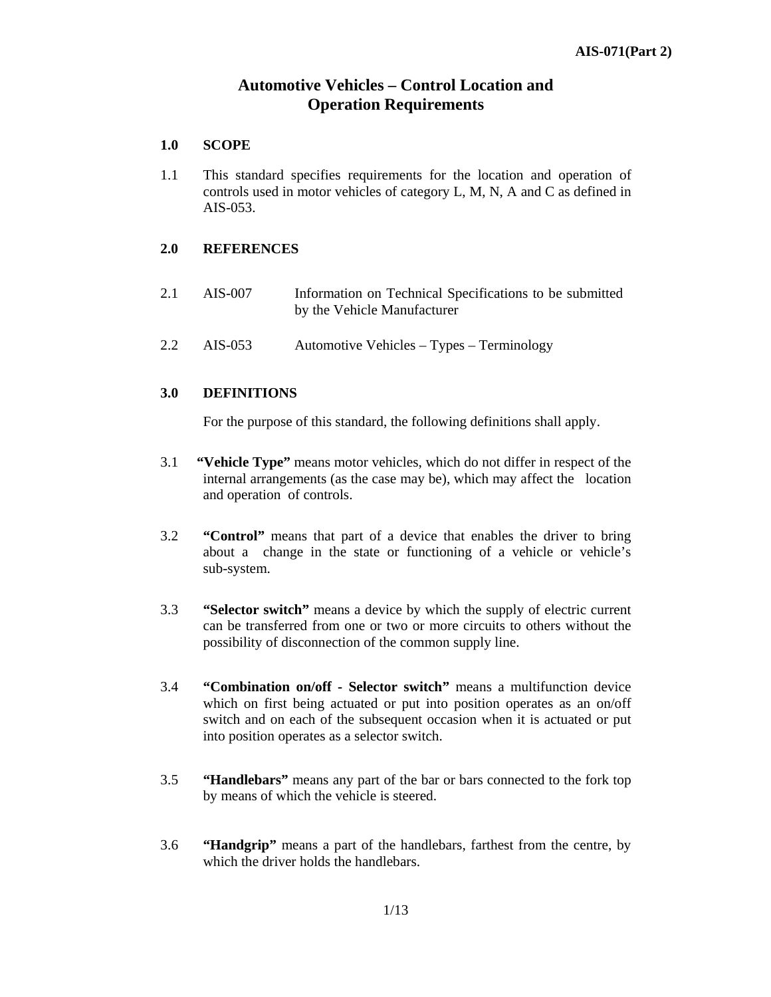#### **Automotive Vehicles – Control Location and Operation Requirements**

#### **1.0 SCOPE**

1.1 This standard specifies requirements for the location and operation of controls used in motor vehicles of category L, M, N, A and C as defined in AIS-053.

#### **2.0 REFERENCES**

- 2.1 AIS-007 Information on Technical Specifications to be submitted by the Vehicle Manufacturer
- 2.2 AIS-053 Automotive Vehicles Types Terminology

#### **3.0 DEFINITIONS**

For the purpose of this standard, the following definitions shall apply.

- 3.1 **"Vehicle Type"** means motor vehicles, which do not differ in respect of the internal arrangements (as the case may be), which may affect the location and operation of controls.
- 3.2 **"Control"** means that part of a device that enables the driver to bring about achange in the state or functioning of a vehicle or vehicle's sub-system.
- 3.3 **"Selector switch"** means a device by which the supply of electric current can be transferred from one or two or more circuits to others without the possibility of disconnection of the common supply line.
- 3.4 **"Combination on/off Selector switch"** means a multifunction device which on first being actuated or put into position operates as an on/off switch and on each of the subsequent occasion when it is actuated or put into position operates as a selector switch.
- 3.5 **"Handlebars"** means any part of the bar or bars connected to the fork top by means of which the vehicle is steered.
- 3.6 **"Handgrip"** means a part of the handlebars, farthest from the centre, by which the driver holds the handlebars.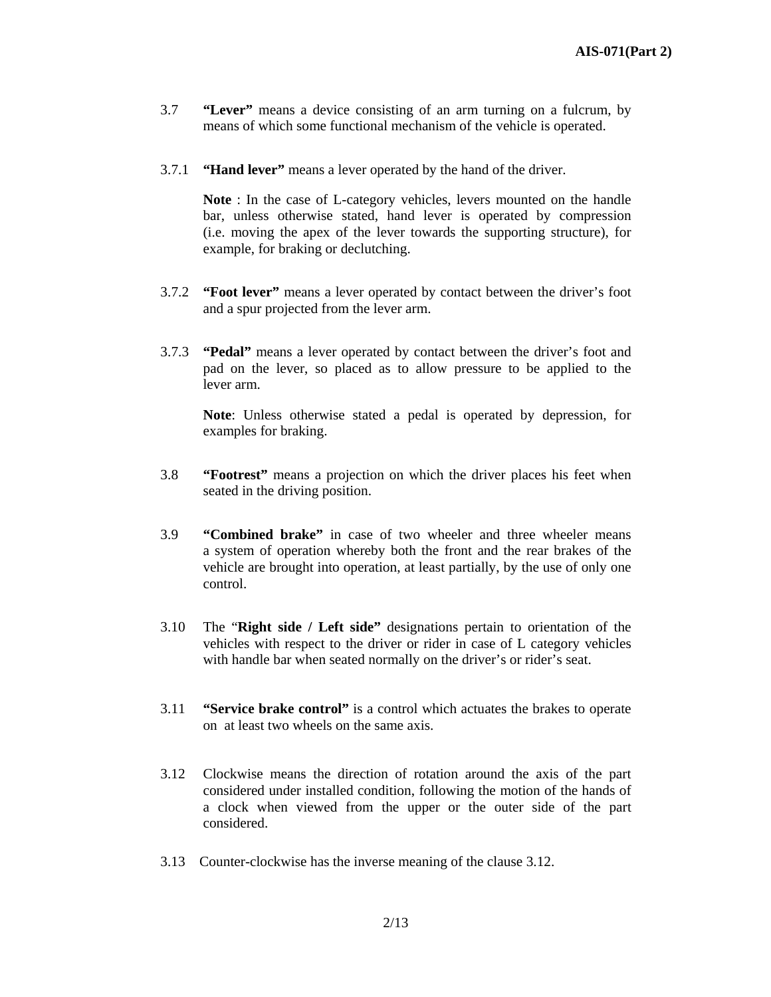- 3.7 **"Lever"** means a device consisting of an arm turning on a fulcrum, by means of which some functional mechanism of the vehicle is operated.
- 3.7.1 **"Hand lever"** means a lever operated by the hand of the driver.

**Note** : In the case of L-category vehicles, levers mounted on the handle bar, unless otherwise stated, hand lever is operated by compression (i.e. moving the apex of the lever towards the supporting structure), for example, for braking or declutching.

- 3.7.2 **"Foot lever"** means a lever operated by contact between the driver's foot and a spur projected from the lever arm.
- 3.7.3 **"Pedal"** means a lever operated by contact between the driver's foot and pad on the lever, so placed as to allow pressure to be applied to the lever arm.

**Note**: Unless otherwise stated a pedal is operated by depression, for examples for braking.

- 3.8 **"Footrest"** means a projection on which the driver places his feet when seated in the driving position.
- 3.9 **"Combined brake"** in case of two wheeler and three wheeler means a system of operation whereby both the front and the rear brakes of the vehicle are brought into operation, at least partially, by the use of only one control.
- 3.10 The "**Right side / Left side"** designations pertain to orientation of the vehicles with respect to the driver or rider in case of L category vehicles with handle bar when seated normally on the driver's or rider's seat.
- 3.11 **"Service brake control"** is a control which actuates the brakes to operate on at least two wheels on the same axis.
- 3.12 Clockwise means the direction of rotation around the axis of the part considered under installed condition, following the motion of the hands of a clock when viewed from the upper or the outer side of the part considered.
- 3.13 Counter-clockwise has the inverse meaning of the clause 3.12.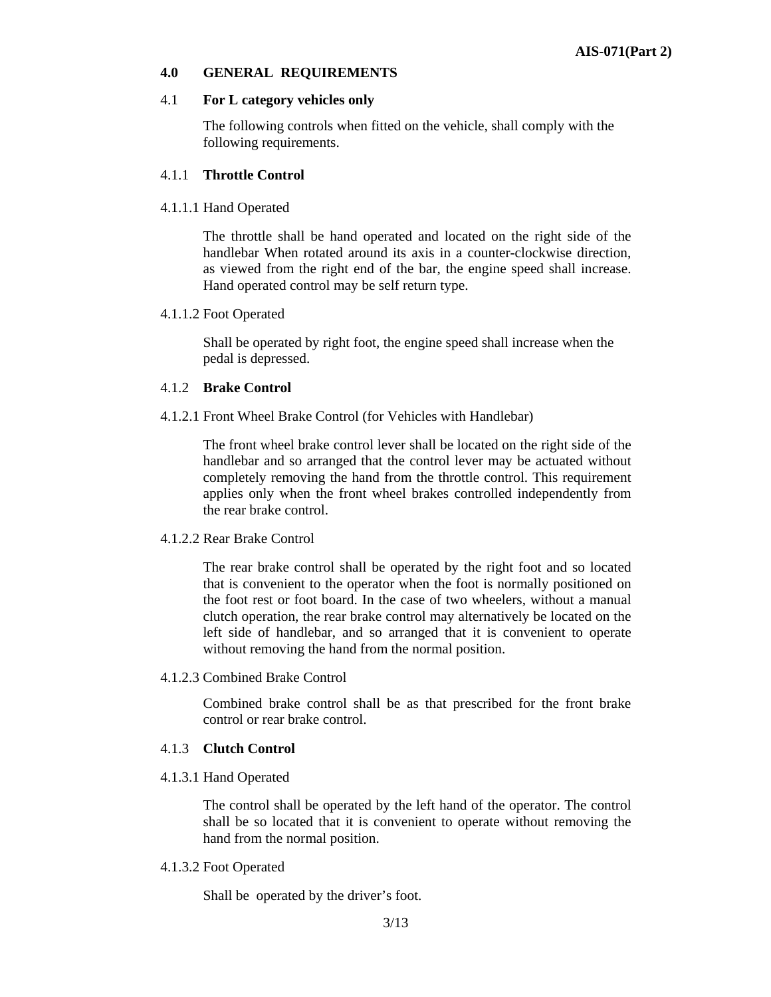#### **4.0 GENERAL REQUIREMENTS**

#### 4.1 **For L category vehicles only**

The following controls when fitted on the vehicle, shall comply with the following requirements.

#### 4.1.1 **Throttle Control**

#### 4.1.1.1 Hand Operated

The throttle shall be hand operated and located on the right side of the handlebar When rotated around its axis in a counter-clockwise direction, as viewed from the right end of the bar, the engine speed shall increase. Hand operated control may be self return type.

#### 4.1.1.2 Foot Operated

 Shall be operated by right foot, the engine speed shall increase when the pedal is depressed.

#### 4.1.2 **Brake Control**

4.1.2.1 Front Wheel Brake Control (for Vehicles with Handlebar)

 The front wheel brake control lever shall be located on the right side of the handlebar and so arranged that the control lever may be actuated without completely removing the hand from the throttle control. This requirement applies only when the front wheel brakes controlled independently from the rear brake control.

#### 4.1.2.2 Rear Brake Control

The rear brake control shall be operated by the right foot and so located that is convenient to the operator when the foot is normally positioned on the foot rest or foot board. In the case of two wheelers, without a manual clutch operation, the rear brake control may alternatively be located on the left side of handlebar, and so arranged that it is convenient to operate without removing the hand from the normal position.

4.1.2.3 Combined Brake Control

Combined brake control shall be as that prescribed for the front brake control or rear brake control.

#### 4.1.3 **Clutch Control**

4.1.3.1 Hand Operated

 The control shall be operated by the left hand of the operator. The control shall be so located that it is convenient to operate without removing the hand from the normal position.

#### 4.1.3.2 Foot Operated

Shall be operated by the driver's foot.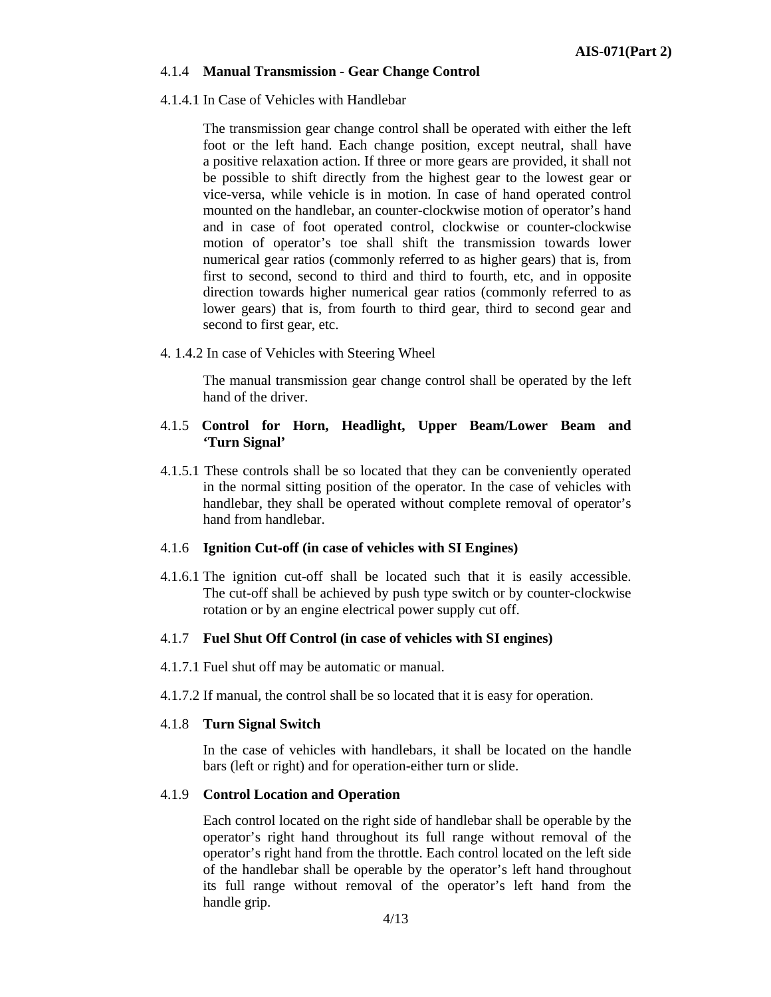#### 4.1.4 **Manual Transmission - Gear Change Control**

#### 4.1.4.1 In Case of Vehicles with Handlebar

The transmission gear change control shall be operated with either the left foot or the left hand. Each change position, except neutral, shall have a positive relaxation action. If three or more gears are provided, it shall not be possible to shift directly from the highest gear to the lowest gear or vice-versa, while vehicle is in motion. In case of hand operated control mounted on the handlebar, an counter-clockwise motion of operator's hand and in case of foot operated control, clockwise or counter-clockwise motion of operator's toe shall shift the transmission towards lower numerical gear ratios (commonly referred to as higher gears) that is, from first to second, second to third and third to fourth, etc, and in opposite direction towards higher numerical gear ratios (commonly referred to as lower gears) that is, from fourth to third gear, third to second gear and second to first gear, etc.

4. 1.4.2 In case of Vehicles with Steering Wheel

The manual transmission gear change control shall be operated by the left hand of the driver.

#### 4.1.5 **Control for Horn, Headlight, Upper Beam/Lower Beam and 'Turn Signal'**

4.1.5.1 These controls shall be so located that they can be conveniently operated in the normal sitting position of the operator. In the case of vehicles with handlebar, they shall be operated without complete removal of operator's hand from handlebar.

#### 4.1.6 **Ignition Cut-off (in case of vehicles with SI Engines)**

4.1.6.1 The ignition cut-off shall be located such that it is easily accessible. The cut-off shall be achieved by push type switch or by counter-clockwise rotation or by an engine electrical power supply cut off.

#### 4.1.7 **Fuel Shut Off Control (in case of vehicles with SI engines)**

- 4.1.7.1 Fuel shut off may be automatic or manual.
- 4.1.7.2 If manual, the control shall be so located that it is easy for operation.

#### 4.1.8 **Turn Signal Switch**

In the case of vehicles with handlebars, it shall be located on the handle bars (left or right) and for operation-either turn or slide.

#### 4.1.9 **Control Location and Operation**

Each control located on the right side of handlebar shall be operable by the operator's right hand throughout its full range without removal of the operator's right hand from the throttle. Each control located on the left side of the handlebar shall be operable by the operator's left hand throughout its full range without removal of the operator's left hand from the handle grip.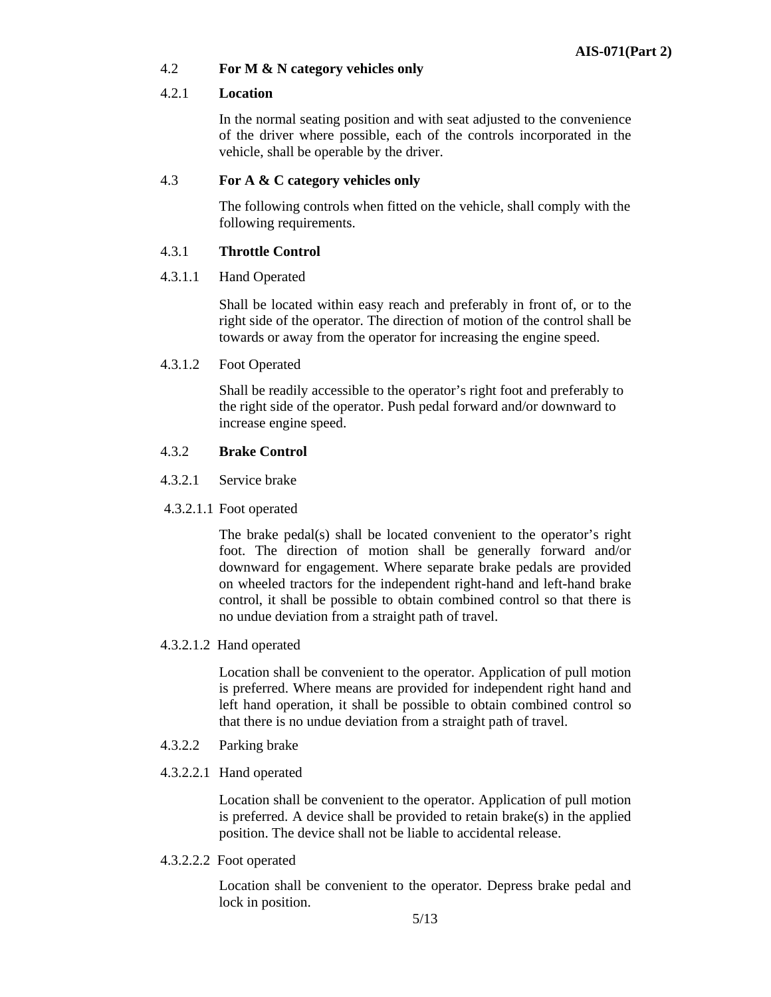#### 4.2 **For M & N category vehicles only**

#### 4.2.1 **Location**

In the normal seating position and with seat adjusted to the convenience of the driver where possible, each of the controls incorporated in the vehicle, shall be operable by the driver.

#### 4.3 **For A & C category vehicles only**

The following controls when fitted on the vehicle, shall comply with the following requirements.

#### 4.3.1 **Throttle Control**

#### 4.3.1.1 Hand Operated

Shall be located within easy reach and preferably in front of, or to the right side of the operator. The direction of motion of the control shall be towards or away from the operator for increasing the engine speed.

4.3.1.2 Foot Operated

Shall be readily accessible to the operator's right foot and preferably to the right side of the operator. Push pedal forward and/or downward to increase engine speed.

#### 4.3.2 **Brake Control**

- 4.3.2.1 Service brake
- 4.3.2.1.1 Foot operated

The brake pedal(s) shall be located convenient to the operator's right foot. The direction of motion shall be generally forward and/or downward for engagement. Where separate brake pedals are provided on wheeled tractors for the independent right-hand and left-hand brake control, it shall be possible to obtain combined control so that there is no undue deviation from a straight path of travel.

4.3.2.1.2 Hand operated

Location shall be convenient to the operator. Application of pull motion is preferred. Where means are provided for independent right hand and left hand operation, it shall be possible to obtain combined control so that there is no undue deviation from a straight path of travel.

- 4.3.2.2 Parking brake
- 4.3.2.2.1 Hand operated

Location shall be convenient to the operator. Application of pull motion is preferred. A device shall be provided to retain brake $(s)$  in the applied position. The device shall not be liable to accidental release.

4.3.2.2.2 Foot operated

Location shall be convenient to the operator. Depress brake pedal and lock in position.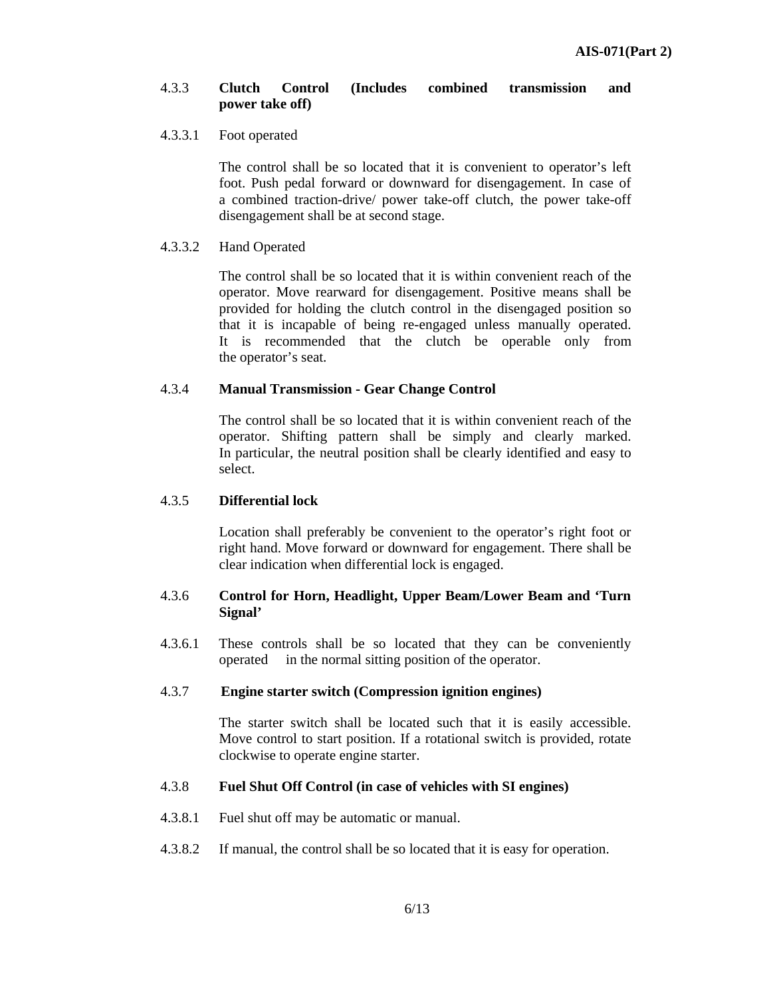#### 4.3.3 **Clutch Control (Includes combined transmission and power take off)**

#### 4.3.3.1 Foot operated

The control shall be so located that it is convenient to operator's left foot. Push pedal forward or downward for disengagement. In case of a combined traction-drive/ power take-off clutch, the power take-off disengagement shall be at second stage.

#### 4.3.3.2 Hand Operated

The control shall be so located that it is within convenient reach of the operator. Move rearward for disengagement. Positive means shall be provided for holding the clutch control in the disengaged position so that it is incapable of being re-engaged unless manually operated. It is recommended that the clutch be operable only from the operator's seat.

#### 4.3.4 **Manual Transmission - Gear Change Control**

The control shall be so located that it is within convenient reach of the operator. Shifting pattern shall be simply and clearly marked. In particular, the neutral position shall be clearly identified and easy to select.

#### 4.3.5 **Differential lock**

Location shall preferably be convenient to the operator's right foot or right hand. Move forward or downward for engagement. There shall be clear indication when differential lock is engaged.

#### 4.3.6 **Control for Horn, Headlight, Upper Beam/Lower Beam and 'Turn Signal'**

4.3.6.1 These controls shall be so located that they can be conveniently operated in the normal sitting position of the operator.

#### 4.3.7 **Engine starter switch (Compression ignition engines)**

The starter switch shall be located such that it is easily accessible. Move control to start position. If a rotational switch is provided, rotate clockwise to operate engine starter.

#### 4.3.8 **Fuel Shut Off Control (in case of vehicles with SI engines)**

- 4.3.8.1 Fuel shut off may be automatic or manual.
- 4.3.8.2 If manual, the control shall be so located that it is easy for operation.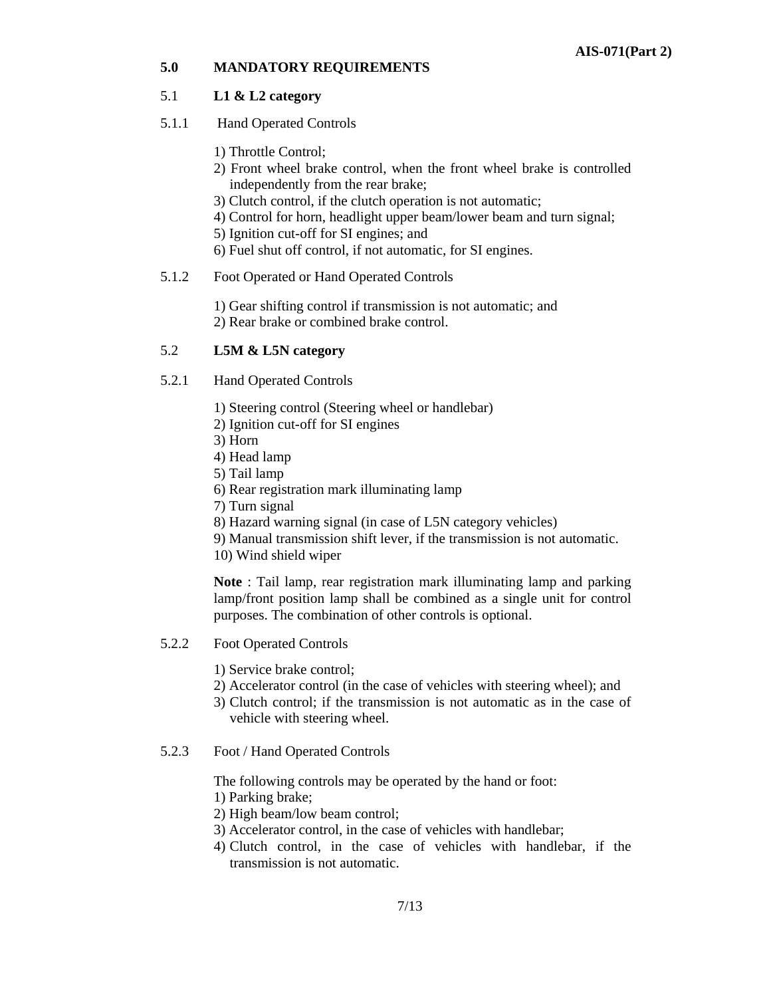#### **5.0 MANDATORY REQUIREMENTS**

#### 5.1 **L1 & L2 category**

- 5.1.1 Hand Operated Controls
	- 1) Throttle Control;
	- 2) Front wheel brake control, when the front wheel brake is controlled independently from the rear brake;
	- 3) Clutch control, if the clutch operation is not automatic;
	- 4) Control for horn, headlight upper beam/lower beam and turn signal;
	- 5) Ignition cut-off for SI engines; and
	- 6) Fuel shut off control, if not automatic, for SI engines.

#### 5.1.2 Foot Operated or Hand Operated Controls

- 1) Gear shifting control if transmission is not automatic; and
- 2) Rear brake or combined brake control.

#### 5.2 **L5M & L5N category**

- 5.2.1 Hand Operated Controls
	- 1) Steering control (Steering wheel or handlebar)
	- 2) Ignition cut-off for SI engines
	- 3) Horn
	- 4) Head lamp
	- 5) Tail lamp
	- 6) Rear registration mark illuminating lamp
	- 7) Turn signal
	- 8) Hazard warning signal (in case of L5N category vehicles)
	- 9) Manual transmission shift lever, if the transmission is not automatic.

10) Wind shield wiper

**Note** : Tail lamp, rear registration mark illuminating lamp and parking lamp/front position lamp shall be combined as a single unit for control purposes. The combination of other controls is optional.

- 5.2.2 Foot Operated Controls
	- 1) Service brake control;
	- 2) Accelerator control (in the case of vehicles with steering wheel); and
	- 3) Clutch control; if the transmission is not automatic as in the case of vehicle with steering wheel.
- 5.2.3 Foot / Hand Operated Controls

The following controls may be operated by the hand or foot:

- 1) Parking brake;
- 2) High beam/low beam control;
- 3) Accelerator control, in the case of vehicles with handlebar;
- 4) Clutch control, in the case of vehicles with handlebar, if the transmission is not automatic.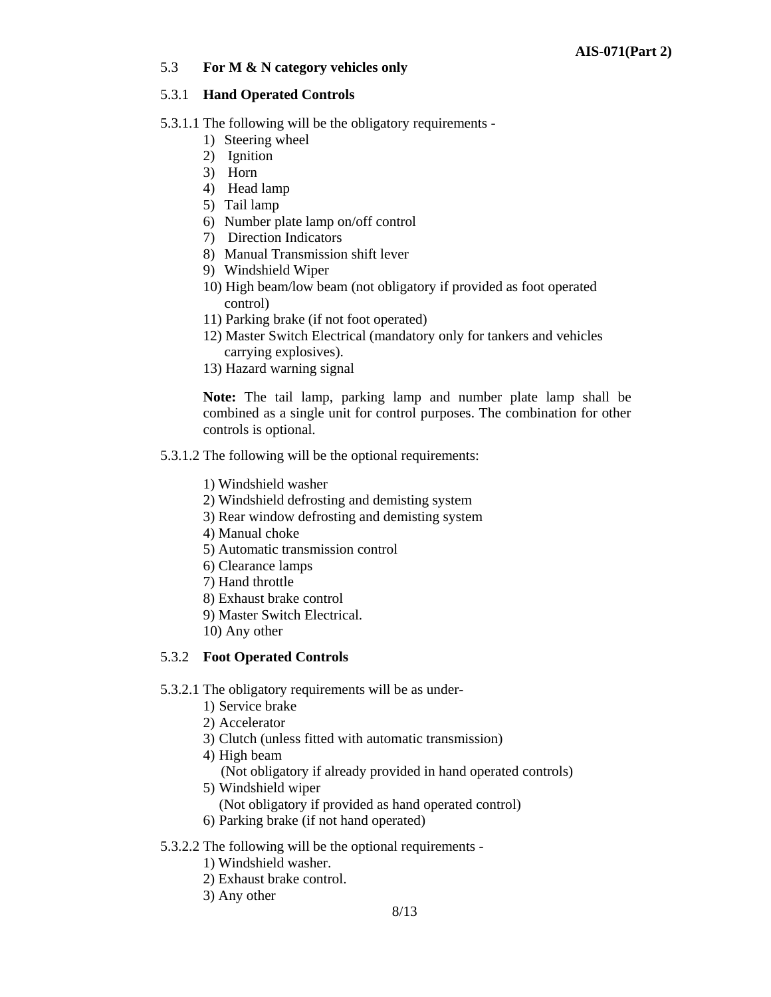#### 5.3 **For M & N category vehicles only**

#### 5.3.1 **Hand Operated Controls**

- 5.3.1.1 The following will be the obligatory requirements
	- 1) Steering wheel
	- 2) Ignition
	- 3) Horn
	- 4) Head lamp
	- 5) Tail lamp
	- 6) Number plate lamp on/off control
	- 7) Direction Indicators
	- 8) Manual Transmission shift lever
	- 9) Windshield Wiper
	- 10) High beam/low beam (not obligatory if provided as foot operated control)
	- 11) Parking brake (if not foot operated)
	- 12) Master Switch Electrical (mandatory only for tankers and vehicles carrying explosives).
	- 13) Hazard warning signal

**Note:** The tail lamp, parking lamp and number plate lamp shall be combined as a single unit for control purposes. The combination for other controls is optional.

- 5.3.1.2 The following will be the optional requirements:
	- 1) Windshield washer
	- 2) Windshield defrosting and demisting system
	- 3) Rear window defrosting and demisting system
	- 4) Manual choke
	- 5) Automatic transmission control
	- 6) Clearance lamps
	- 7) Hand throttle
	- 8) Exhaust brake control
	- 9) Master Switch Electrical.
	- 10) Any other

#### 5.3.2 **Foot Operated Controls**

- 5.3.2.1 The obligatory requirements will be as under-
	- 1) Service brake
	- 2) Accelerator
	- 3) Clutch (unless fitted with automatic transmission)
	- 4) High beam
		- (Not obligatory if already provided in hand operated controls)
	- 5) Windshield wiper
	- (Not obligatory if provided as hand operated control)
	- 6) Parking brake (if not hand operated)
- 5.3.2.2 The following will be the optional requirements
	- 1) Windshield washer.
	- 2) Exhaust brake control.
	- 3) Any other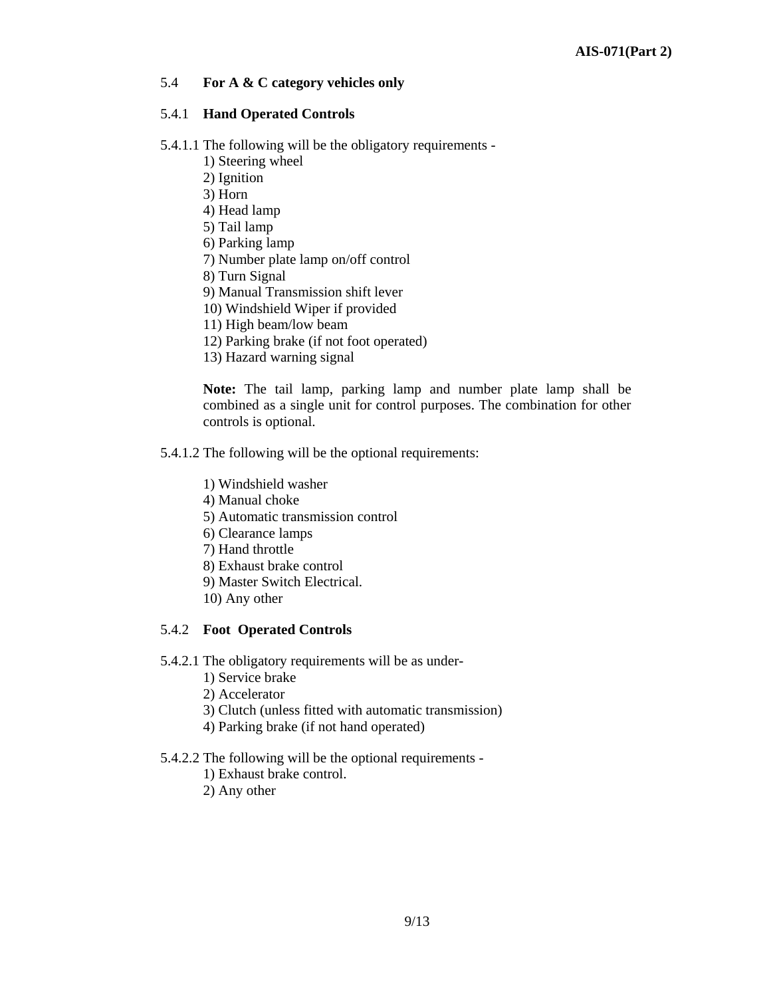#### 5.4 **For A & C category vehicles only**

#### 5.4.1 **Hand Operated Controls**

- 5.4.1.1 The following will be the obligatory requirements
	- 1) Steering wheel
	- 2) Ignition
	- 3) Horn
	- 4) Head lamp
	- 5) Tail lamp
	- 6) Parking lamp
	- 7) Number plate lamp on/off control
	- 8) Turn Signal
	- 9) Manual Transmission shift lever
	- 10) Windshield Wiper if provided
	- 11) High beam/low beam
	- 12) Parking brake (if not foot operated)
	- 13) Hazard warning signal

**Note:** The tail lamp, parking lamp and number plate lamp shall be combined as a single unit for control purposes. The combination for other controls is optional.

- 5.4.1.2 The following will be the optional requirements:
	- 1) Windshield washer
	- 4) Manual choke
	- 5) Automatic transmission control
	- 6) Clearance lamps
	- 7) Hand throttle
	- 8) Exhaust brake control
	- 9) Master Switch Electrical.
	- 10) Any other

#### 5.4.2 **Foot Operated Controls**

- 5.4.2.1 The obligatory requirements will be as under-
	- 1) Service brake
	- 2) Accelerator
	- 3) Clutch (unless fitted with automatic transmission)
	- 4) Parking brake (if not hand operated)
- 5.4.2.2 The following will be the optional requirements
	- 1) Exhaust brake control.
	- 2) Any other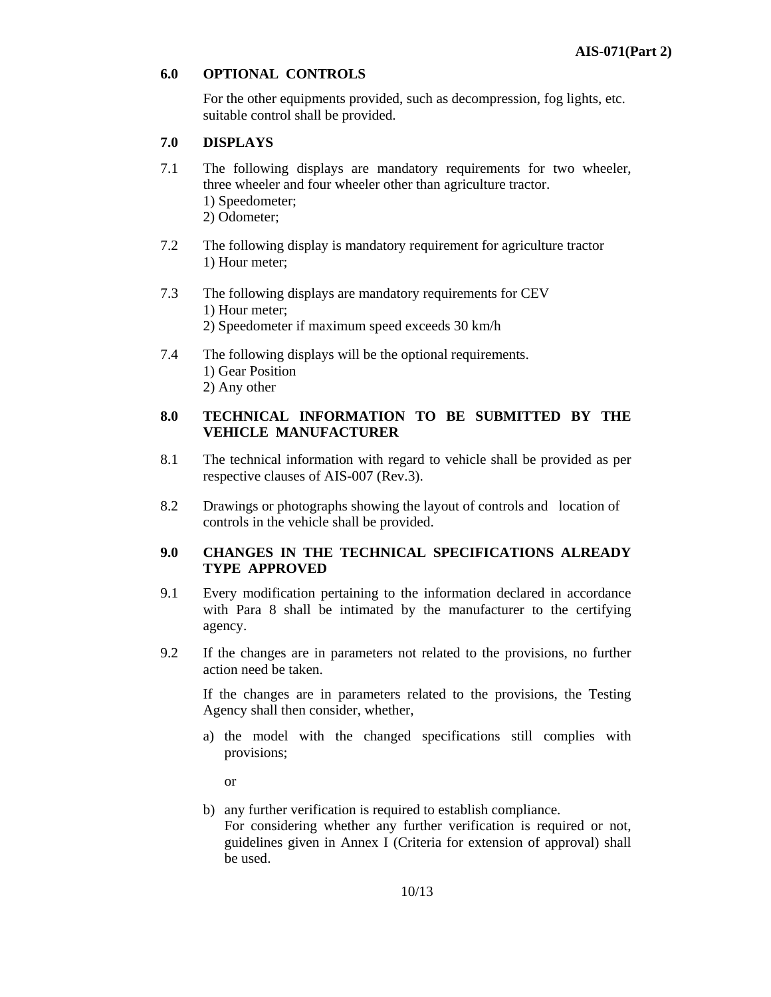#### **6.0 OPTIONAL CONTROLS**

For the other equipments provided, such as decompression, fog lights, etc. suitable control shall be provided.

#### **7.0 DISPLAYS**

- 7.1 The following displays are mandatory requirements for two wheeler, three wheeler and four wheeler other than agriculture tractor. 1) Speedometer; 2) Odometer;
- 7.2 The following display is mandatory requirement for agriculture tractor 1) Hour meter;
- 7.3 The following displays are mandatory requirements for CEV 1) Hour meter; 2) Speedometer if maximum speed exceeds 30 km/h
- 7.4 The following displays will be the optional requirements. 1) Gear Position 2) Any other

#### **8.0 TECHNICAL INFORMATION TO BE SUBMITTED BY THE VEHICLE MANUFACTURER**

- 8.1 The technical information with regard to vehicle shall be provided as per respective clauses of AIS-007 (Rev.3).
- 8.2 Drawings or photographs showing the layout of controls and location of controls in the vehicle shall be provided.

#### **9.0 CHANGES IN THE TECHNICAL SPECIFICATIONS ALREADY TYPE APPROVED**

- 9.1 Every modification pertaining to the information declared in accordance with Para 8 shall be intimated by the manufacturer to the certifying agency.
- 9.2 If the changes are in parameters not related to the provisions, no further action need be taken.

If the changes are in parameters related to the provisions, the Testing Agency shall then consider, whether,

a) the model with the changed specifications still complies with provisions;

or

b) any further verification is required to establish compliance. For considering whether any further verification is required or not, guidelines given in Annex I (Criteria for extension of approval) shall be used.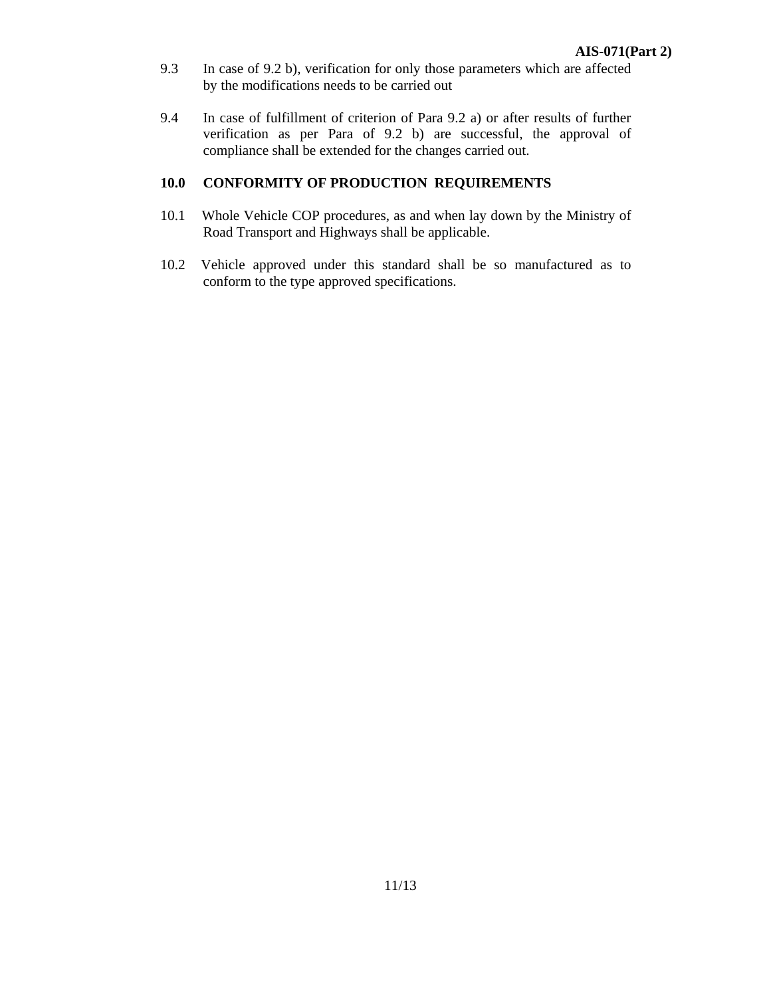- 9.3 In case of 9.2 b), verification for only those parameters which are affected by the modifications needs to be carried out
- 9.4 In case of fulfillment of criterion of Para 9.2 a) or after results of further verification as per Para of 9.2 b) are successful, the approval of compliance shall be extended for the changes carried out.

#### **10.0 CONFORMITY OF PRODUCTION REQUIREMENTS**

- 10.1 Whole Vehicle COP procedures, as and when lay down by the Ministry of Road Transport and Highways shall be applicable.
- 10.2 Vehicle approved under this standard shall be so manufactured as to conform to the type approved specifications.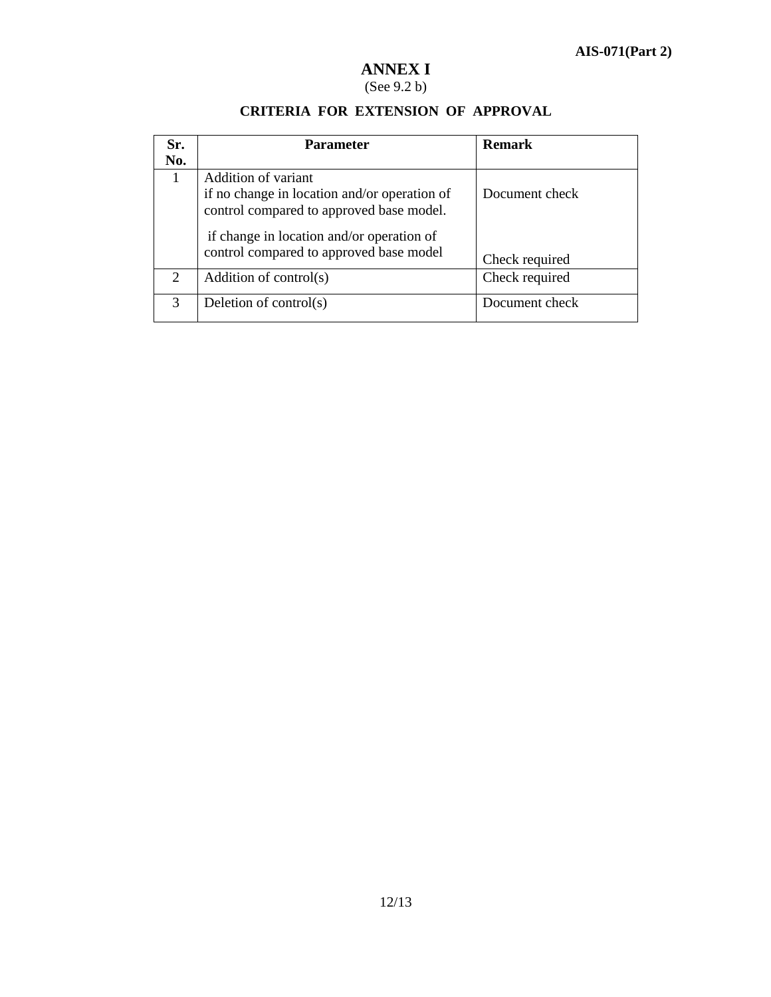# **ANNEX I**

### (See 9.2 b)

| Sr.<br>No. | <b>Parameter</b>                                                                                                                                                                                        | <b>Remark</b>                    |
|------------|---------------------------------------------------------------------------------------------------------------------------------------------------------------------------------------------------------|----------------------------------|
|            | Addition of variant<br>if no change in location and/or operation of<br>control compared to approved base model.<br>if change in location and/or operation of<br>control compared to approved base model | Document check<br>Check required |
| 2          | Addition of control(s)                                                                                                                                                                                  | Check required                   |
| 3          | Deletion of control(s)                                                                                                                                                                                  | Document check                   |

#### **CRITERIA FOR EXTENSION OF APPROVAL**